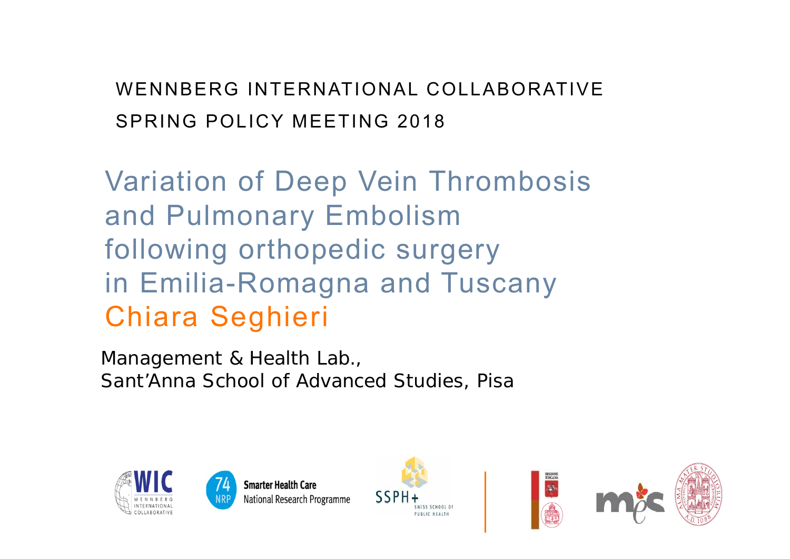WENNBERG INTERNATIONAL COLLABORATIVESPRING POLICY MEETING 2018

Variation of Deep Vein Thrombosis and Pulmonary Embolism following orthopedic surgery in Emilia-Romagna and Tuscany Chiara Seghieri

Management & Health Lab., Sant'Anna School of Advanced Studies, Pisa





**Smarter Health Care** National Research Programme



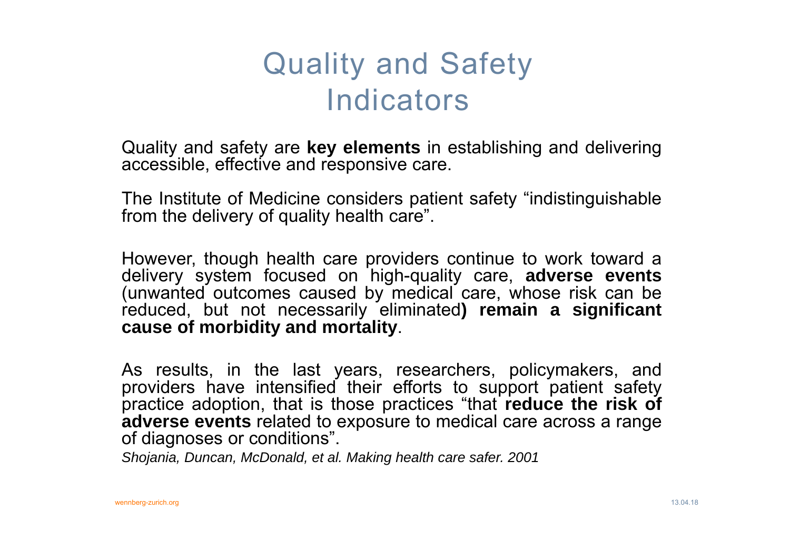# Quality and Safety Indicators

Quality and safety are **key elements** in establishing and delivering accessible, effective and responsive care.

The Institute of Medicine considers patient safety "indistinguishable from the delivery of quality health care".

However, though health care providers continue to work toward <sup>a</sup> delivery system focused on high-quality care, **adverse events** (unwanted outcomes caused by medical care, whose risk can be reduced, but not necessarily eliminated**) remain <sup>a</sup> significant cause of morbidity and mortality**.

As results, in the last years, researchers, policymakers, and providers have intensified their efforts to support patient safety practice adoption, that is those practices "that **reduce the risk of adverse events** related to exposure to medical care across <sup>a</sup> range of diagnoses or conditions".

*Shojania, Duncan, McDonald, et al. Making health care safer. 2001*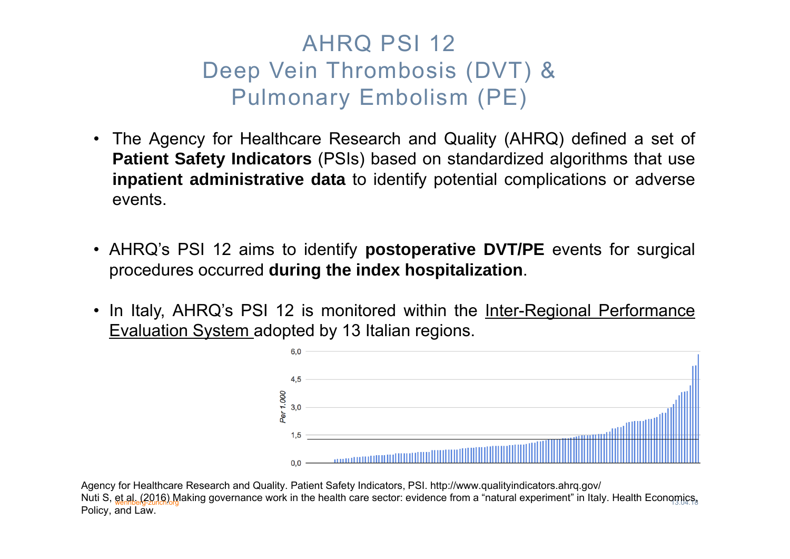### AHRQ PSI 12 Deep Vein Thrombosis (DVT) & Pulmonary Embolism (PE)

- The Agency for Healthcare Research and Quality (AHRQ) defined <sup>a</sup> set of **Patient Safety Indicators** (PSIs) based on standardized algorithms that use **inpatient administrative data** to identify potential complications or adverse events.
- AHRQ's PSI 12 aims to identify **postoperative DVT/PE** events for surgical procedures occurred **during the index hospitalization**.
- In Italy, AHRQ's PSI 12 is monitored within the <u>Inter-Regional Performance</u> Evaluation System adopted by 13 Italian regions.



Nuti S, <u>et al. (2016).</u>Making governance work in the health care sector: evidence from a "natural experiment" in Italy. Health Economics, Agency for Healthcare Research and Quality. Patient Safety Indicators, PSI. http://www.qualityindicators.ahrq.gov/ Policy, and Law.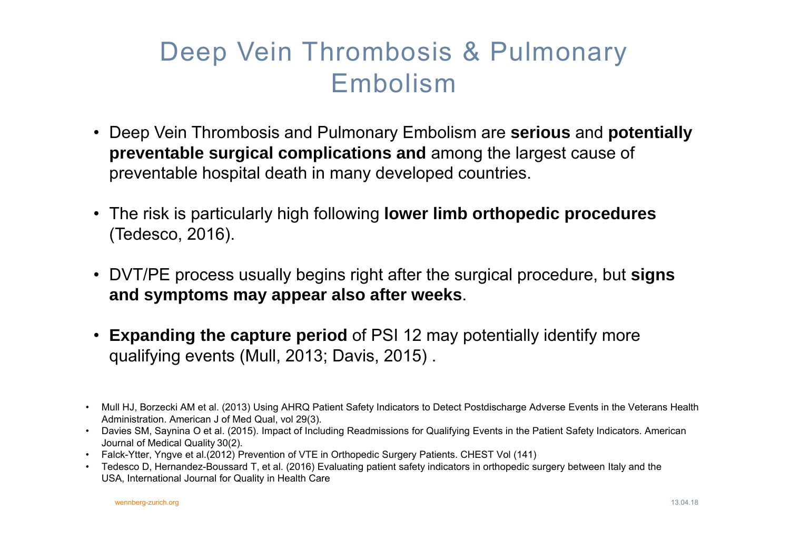### Deep Vein Thrombosis & Pulmonary Embolism

- Deep Vein Thrombosis and Pulmonary Embolism are **serious** and **potentially preventable surgical complications and** among the largest cause of preventable hospital death in many developed countries.
- The risk is particularly high following **lower limb orthopedic procedures** (Tedesco, 2016).
- DVT/PE process usually begins right after the surgical procedure, but **signs and symptoms may appear also after weeks**.
- **Expanding the capture period** of PSI 12 may potentially identify more qualifying events (Mull, 2013; Davis, 2015) .
- Mull HJ, Borzecki AM et al. (2013) Using AHRQ Patient Safety Indicators to Detect Postdischarge Adverse Events in the Veterans Health Administration. American J of Med Qual, vol 29(3).
- • Davies SM, Saynina O et al. (2015). Impact of Including Readmissions for Qualifying Events in the Patient Safety Indicators. American Journal of Medical Quality 30(2).
- Falck-Ytter, Yngve et al.(2012) Prevention of VTE in Orthopedic Surgery Patients. CHEST Vol (141)
- • Tedesco D, Hernandez-Boussard T, et al. (2016) Evaluating patient safety indicators in orthopedic surgery between Italy and the USA, International Journal for Quality in Health Care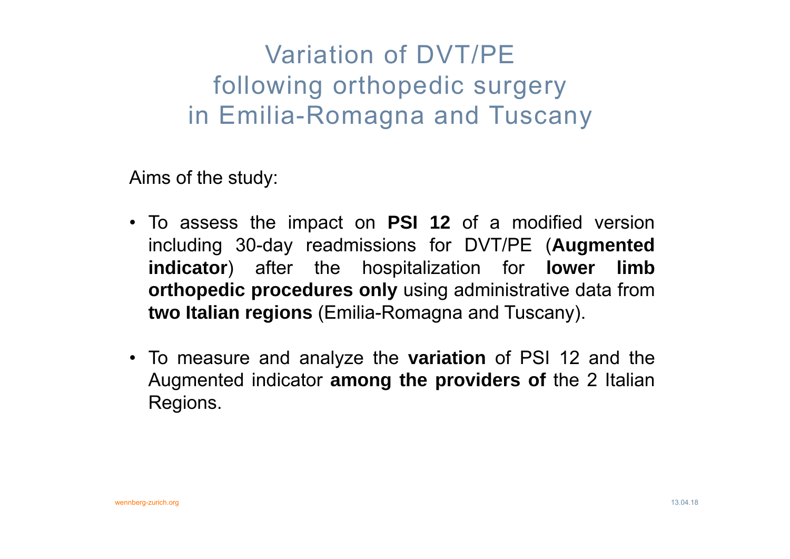### Variation of DVT/PE following orthopedic surgery in Emilia-Romagna and Tuscany

Aims of the study:

- To assess the impact on **PSI 12** of <sup>a</sup> modified version including 30-day readmissions for DVT/PE (**Augmented indicator**) after the hospitalization for **lower limb orthopedic procedures only** using administrative data from **two Italian regions** (Emilia-Romagna and Tuscany).
- To measure and analyze the **variation** of PSI 12 and the Augmented indicator **among the providers of** the 2 Italian Regions.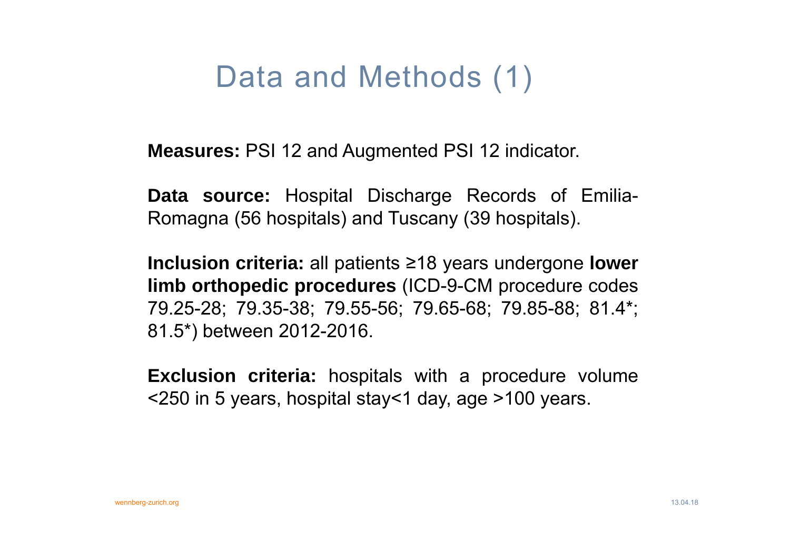# Data and Methods (1)

**Measures:** PSI 12 and Augmented PSI 12 indicator.

**Data source:** Hospital Discharge Records of Emilia-Romagna (56 hospitals) and Tuscany (39 hospitals).

**Inclusion criteria:** all patients <sup>≥</sup>18 years undergone **lower limb orthopedic procedures** (ICD-9-CM procedure codes 79.25-28; 79.35-38; 79.55-56; 79.65-68; 79.85-88; 81.4\*; 81.5\*) between 2012-2016.

**Exclusion criteria:** hospitals with <sup>a</sup> procedure volume <250 in 5 years, hospital stay<1 day, age >100 years.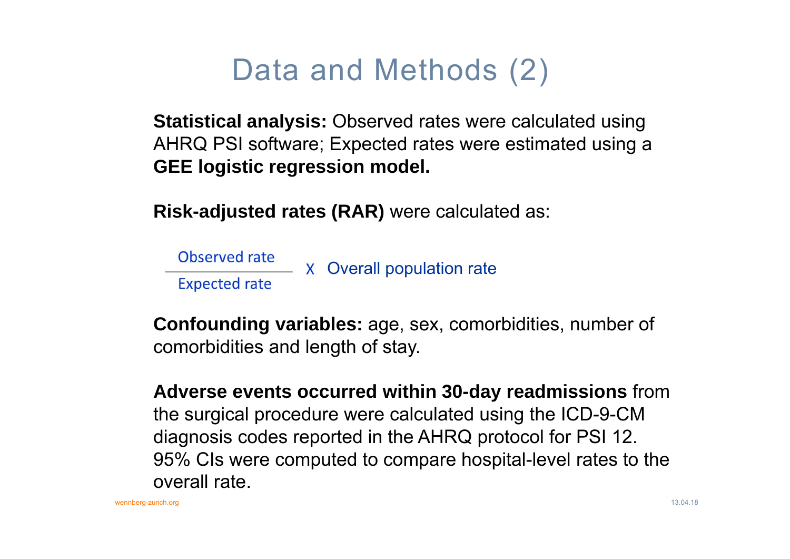# Data and Methods (2)

**Statistical analysis:** Observed rates were calculated using AHRQ PSI software; Expected rates were estimated using a **GEE logistic regression model.**

**Risk-adjusted rates (RAR)** were calculated as:

Observed rate  $-$  X Overall population rate **Expected rate** 

**Confounding variables:** age, sex, comorbidities, number of comorbidities and length of stay.

**Adverse events occurred within 30-day readmissions** from the surgical procedure were calculated using the ICD-9-CM diagnosis codes reported in the AHRQ protocol for PSI 12. 95% CIs were computed to compare hospital-level rates to the overall rate.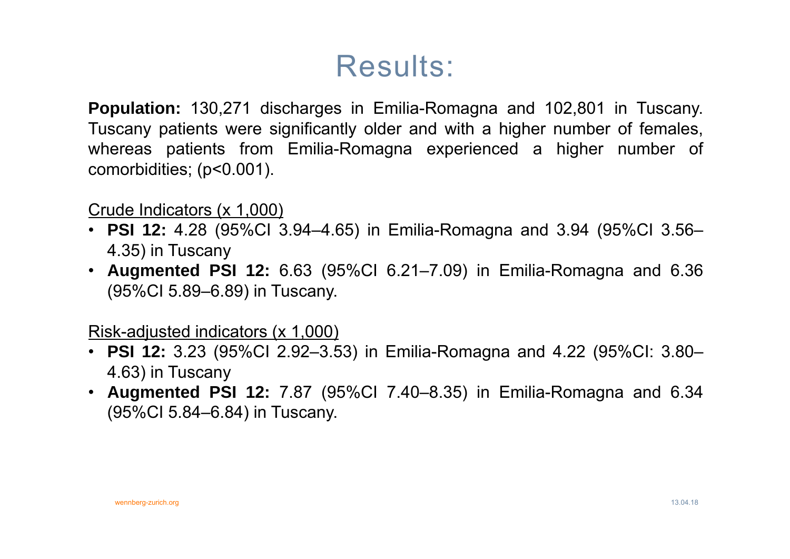# Results:

**Population:** 130,271 discharges in Emilia-Romagna and 102,801 in Tuscany. Tuscany patients were significantly older and with <sup>a</sup> higher number of females, whereas patients from Emilia-Romagna experienced <sup>a</sup> higher number of comorbidities; (p<0.001).

Crude Indicators (x 1,000)

- **PSI 12:** 4.28 (95%CI 3.94–4.65) in Emilia-Romagna and 3.94 (95%CI 3.56– 4.35) in Tuscany
- **Augmented PSI 12:** 6.63 (95%CI 6.21–7.09) in Emilia-Romagna and 6.36 (95%CI 5.89–6.89) in Tuscany.

Risk-adjusted indicators (x 1,000)

- **PSI 12:** 3.23 (95%CI 2.92–3.53) in Emilia-Romagna and 4.22 (95%CI: 3.80– 4.63) in Tuscany
- **Augmented PSI 12:** 7.87 (95%CI 7.40–8.35) in Emilia-Romagna and 6.34 (95%CI 5.84–6.84) in Tuscany.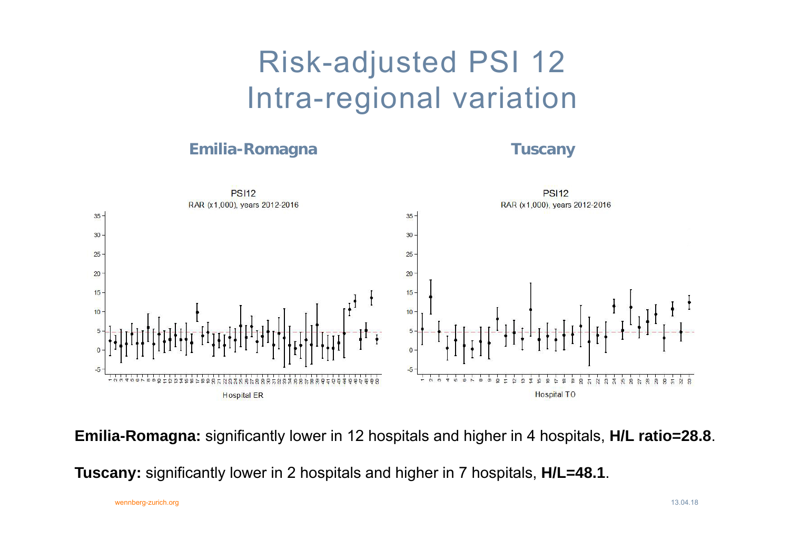# Risk-adjusted PSI 12 Intra-regional variation

### **Emilia-Romagna Tuscany**



**Emilia-Romagna:** significantly lower in 12 hospitals and higher in 4 hospitals, **H/L ratio=28.8**.

**Tuscany:** significantly lower in 2 hospitals and higher in 7 hospitals, **H/L=48.1**.

wennberg-zurich.org 13.04.18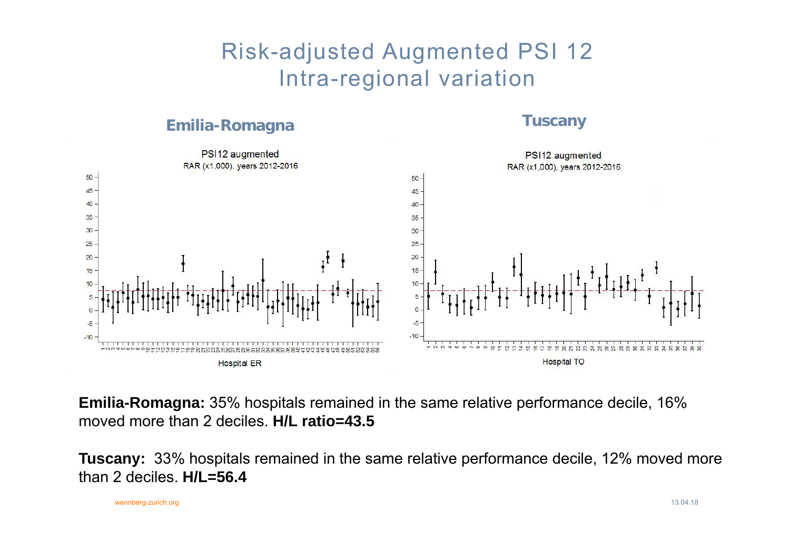### Risk-adjusted Augmented PSI 12 Intra-regional variation

### **Emilia-Romagna Tuscany**



**Emilia-Romagna:** 35% hospitals remained in the same relative performance decile, 16% moved more than 2 deciles. **H/L ratio=43.5**

**Tuscany:** 33% hospitals remained in the same relative performance decile, 12% moved more than 2 deciles. **H/L=56.4**

wennberg-zurich.org 13.04.18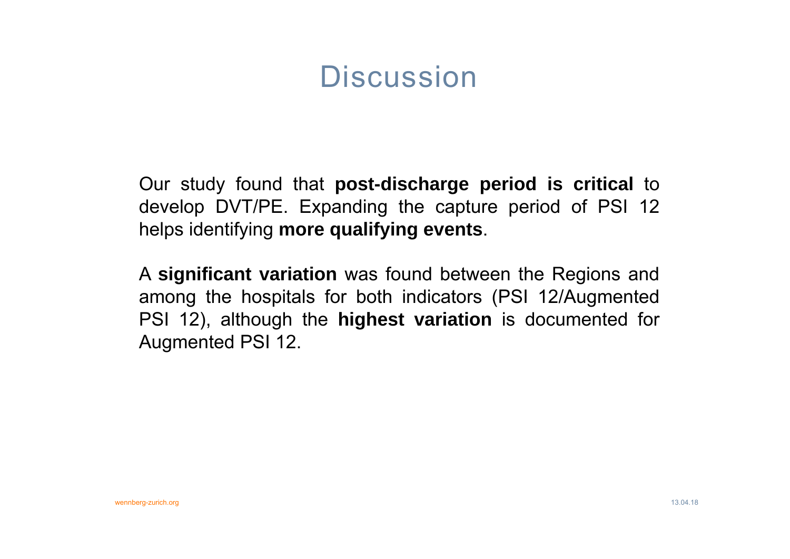## **Discussion**

Our study found that **post-discharge period is critical** to develop DVT/PE. Expanding the capture period of PSI 12 helps identifying **more qualifying events**.

A **significant variation** was found between the Regions and among the hospitals for both indicators (PSI 12/Augmented PSI 12), although the **highest variation** is documented for Augmented PSI 12.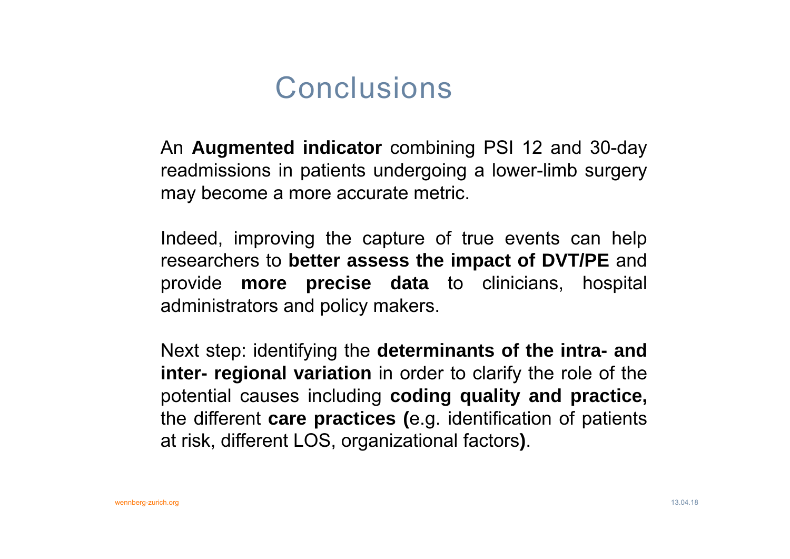### **Conclusions**

An **Augmented indicator** combining PSI 12 and 30-day readmissions in patients undergoing <sup>a</sup> lower-limb surgery may become <sup>a</sup> more accurate metric.

Indeed, improving the capture of true events can help researchers to **better assess the impact of DVT/PE** and provide **more precise data** to clinicians, hospital administrators and policy makers.

Next step: identifying the **determinants of the intra- and inter- regional variation** in order to clarify the role of the potential causes including **coding quality and practice,** the different **care practices (**e.g. identification of patients at risk, different LOS, organizational factors**)**.